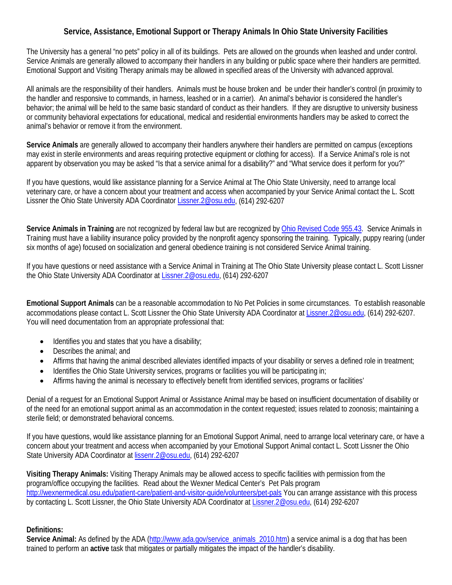## **Service, Assistance, Emotional Support or Therapy Animals In Ohio State University Facilities**

The University has a general "no pets" policy in all of its buildings. Pets are allowed on the grounds when leashed and under control. Service Animals are generally allowed to accompany their handlers in any building or public space where their handlers are permitted. Emotional Support and Visiting Therapy animals may be allowed in specified areas of the University with advanced approval.

All animals are the responsibility of their handlers. Animals must be house broken and be under their handler's control (in proximity to the handler and responsive to commands, in harness, leashed or in a carrier). An animal's behavior is considered the handler's behavior; the animal will be held to the same basic standard of conduct as their handlers. If they are disruptive to university business or community behavioral expectations for educational, medical and residential environments handlers may be asked to correct the animal's behavior or remove it from the environment.

**Service Animals** are generally allowed to accompany their handlers anywhere their handlers are permitted on campus (exceptions may exist in sterile environments and areas requiring protective equipment or clothing for access). If a Service Animal's role is not apparent by observation you may be asked "Is that a service animal for a disability?" and "What service does it perform for you?"

If you have questions, would like assistance planning for a Service Animal at The Ohio State University, need to arrange local veterinary care, or have a concern about your treatment and access when accompanied by your Service Animal contact the L. Scott Lissner the Ohio State University ADA Coordinato[r Lissner.2@osu.edu,](mailto:Lissner.2@osu.edu) (614) 292-6207

**Service Animals in Training** are not recognized by federal law but are recognized b[y Ohio Revised Code 955.43.](http://codes.ohio.gov/orc/955.43) Service Animals in Training must have a liability insurance policy provided by the nonprofit agency sponsoring the training. Typically, puppy rearing (under six months of age) focused on socialization and general obedience training is not considered Service Animal training.

If you have questions or need assistance with a Service Animal in Training at The Ohio State University please contact L. Scott Lissner the Ohio State University ADA Coordinator at [Lissner.2@osu.edu,](mailto:Lissner.2@osu.edu) (614) 292-6207

**Emotional Support Animals** can be a reasonable accommodation to No Pet Policies in some circumstances. To establish reasonable accommodations please contact L. Scott Lissner the Ohio State University ADA Coordinator at [Lissner.2@osu.edu,](mailto:Lissner.2@osu.edu) (614) 292-6207. You will need documentation from an appropriate professional that:

- Identifies you and states that you have a disability;
- Describes the animal; and
- Affirms that having the animal described alleviates identified impacts of your disability or serves a defined role in treatment;
- Identifies the Ohio State University services, programs or facilities you will be participating in;
- Affirms having the animal is necessary to effectively benefit from identified services, programs or facilities'

Denial of a request for an Emotional Support Animal or Assistance Animal may be based on insufficient documentation of disability or of the need for an emotional support animal as an accommodation in the context requested; issues related to zoonosis; maintaining a sterile field; or demonstrated behavioral concerns.

If you have questions, would like assistance planning for an Emotional Support Animal, need to arrange local veterinary care, or have a concern about your treatment and access when accompanied by your Emotional Support Animal contact L. Scott Lissner the Ohio State University ADA Coordinator a[t lissenr.2@osu.edu,](mailto:lissenr.2@osu.edu) (614) 292-6207

**Visiting Therapy Animals:** Visiting Therapy Animals may be allowed access to specific facilities with permission from the program/office occupying the facilities. Read about the Wexner Medical Center's Pet Pals program <http://wexnermedical.osu.edu/patient-care/patient-and-visitor-guide/volunteers/pet-pals> You can arrange assistance with this process by contacting L. Scott Lissner, the Ohio State University ADA Coordinator at [Lissner.2@osu.edu,](mailto:Lissner.2@osu.edu) (614) 292-6207

## **Definitions:**

Service Animal: As defined by the ADA [\(http://www.ada.gov/service\\_animals\\_2010.htm\)](http://www.ada.gov/service_animals_2010.htm) a service animal is a dog that has been trained to perform an **active** task that mitigates or partially mitigates the impact of the handler's disability.